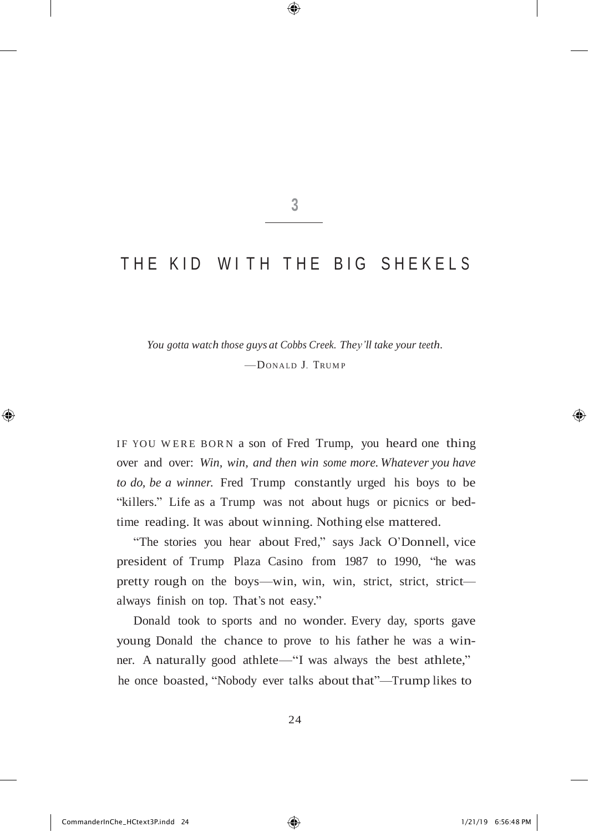**3**

⊕

## THE KID WITH THE BIG SHEKELS

*You gotta watch those guys at Cobbs Creek. They'll take your teeth.* —DONA LD J. TRUM <sup>P</sup>

IF YOU WERE BORN a son of Fred Trump, you heard one thing over and over: *Win, win, and then win some more. Whatever you have to do, be a winner.* Fred Trump constantly urged his boys to be "killers." Life as a Trump was not about hugs or picnics or bedtime reading. It was about winning. Nothing else mattered.

"The stories you hear about Fred," says Jack O'Donnell, vice president of Trump Plaza Casino from 1987 to 1990, "he was pretty rough on the boys—win, win, win, strict, strict, strict always finish on top. That's not easy."

Donald took to sports and no wonder. Every day, sports gave young Donald the chance to prove to his father he was a winner. A naturally good athlete—"I was always the best athlete," he once boasted, "Nobody ever talks about that"—Trump likes to

24

♠

⊕